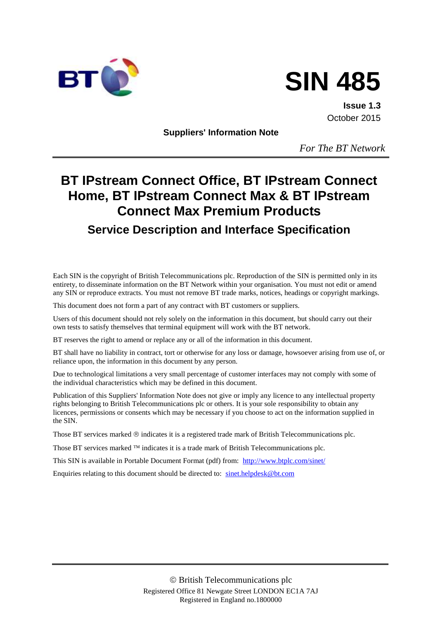



**Issue 1.3** October 2015

**Suppliers' Information Note**

*For The BT Network*

# **BT IPstream Connect Office, BT IPstream Connect Home, BT IPstream Connect Max & BT IPstream Connect Max Premium Products**

# **Service Description and Interface Specification**

Each SIN is the copyright of British Telecommunications plc. Reproduction of the SIN is permitted only in its entirety, to disseminate information on the BT Network within your organisation. You must not edit or amend any SIN or reproduce extracts. You must not remove BT trade marks, notices, headings or copyright markings.

This document does not form a part of any contract with BT customers or suppliers.

Users of this document should not rely solely on the information in this document, but should carry out their own tests to satisfy themselves that terminal equipment will work with the BT network.

BT reserves the right to amend or replace any or all of the information in this document.

BT shall have no liability in contract, tort or otherwise for any loss or damage, howsoever arising from use of, or reliance upon, the information in this document by any person.

Due to technological limitations a very small percentage of customer interfaces may not comply with some of the individual characteristics which may be defined in this document.

Publication of this Suppliers' Information Note does not give or imply any licence to any intellectual property rights belonging to British Telecommunications plc or others. It is your sole responsibility to obtain any licences, permissions or consents which may be necessary if you choose to act on the information supplied in the SIN.

Those BT services marked  $\circledcirc$  indicates it is a registered trade mark of British Telecommunications plc.

Those BT services marked  $TM$  indicates it is a trade mark of British Telecommunications plc.

This SIN is available in Portable Document Format (pdf) from: <http://www.btplc.com/sinet/>

Enquiries relating to this document should be directed to: [sinet.helpdesk@bt.com](mailto:sinet.helpdesk@bt.com)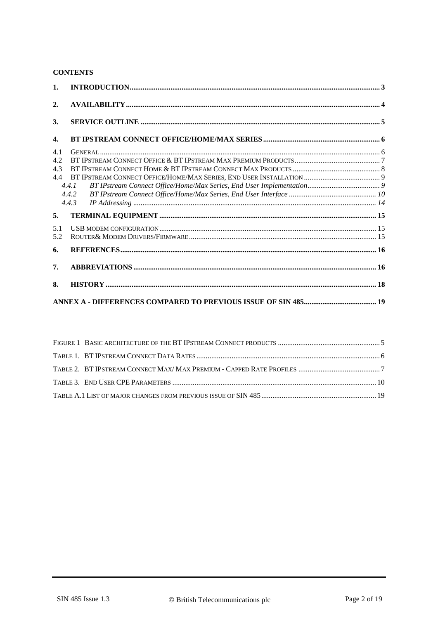## **CONTENTS**

| 1.               |       |  |
|------------------|-------|--|
| 2.               |       |  |
| 3.               |       |  |
| $\overline{4}$ . |       |  |
| 4.1              |       |  |
| 4.2              |       |  |
| 4.3              |       |  |
| 4.4              |       |  |
|                  | 4.4.1 |  |
|                  | 4.4.2 |  |
|                  | 4.4.3 |  |
| 5.               |       |  |
| 5.1              |       |  |
| 5.2              |       |  |
| 6.               |       |  |
| 7.               |       |  |
| 8.               |       |  |
|                  |       |  |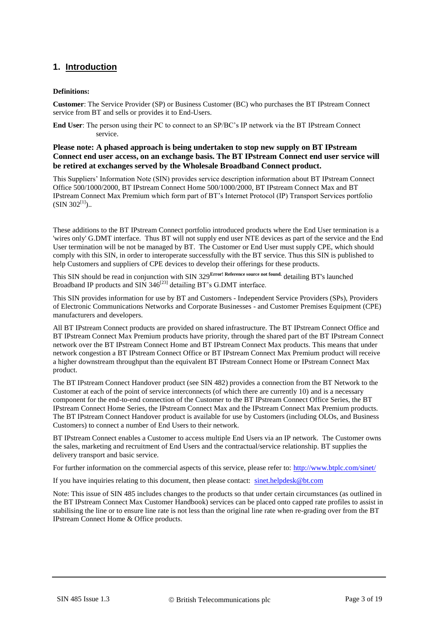# <span id="page-2-0"></span>**1. Introduction**

#### **Definitions:**

**Customer**: The Service Provider (SP) or Business Customer (BC) who purchases the BT IPstream Connect service from BT and sells or provides it to End-Users.

**End User**: The person using their PC to connect to an SP/BC's IP network via the BT IPstream Connect service.

#### **Please note: A phased approach is being undertaken to stop new supply on BT IPstream Connect end user access, on an exchange basis. The BT IPstream Connect end user service will be retired at exchanges served by the Wholesale Broadband Connect product.**

This Suppliers' Information Note (SIN) provides service description information about BT IPstream Connect Office 500/1000/2000, BT IPstream Connect Home 500/1000/2000, BT IPstream Connect Max and BT IPstream Connect Max Premium which form part of BT's Internet Protocol (IP) Transport Services portfolio  $(SIN 302^{[1]})$  $(SIN 302^{[1]})$  $(SIN 302^{[1]})$ ..

These additions to the BT IPstream Connect portfolio introduced products where the End User termination is a 'wires only' G.DMT interface. Thus BT will not supply end user NTE devices as part of the service and the End User termination will be not be managed by BT. The Customer or End User must supply CPE, which should comply with this SIN, in order to interoperate successfully with the BT service. Thus this SIN is published to help Customers and suppliers of CPE devices to develop their offerings for these products.

This SIN should be read in conjunction with SIN 329**Error! Reference source not found.** detailing BT's launched Broadband IP products and SIN  $346^{[23]}$  $346^{[23]}$  $346^{[23]}$  detailing BT's G.DMT interface.

This SIN provides information for use by BT and Customers - Independent Service Providers (SPs), Providers of Electronic Communications Networks and Corporate Businesses - and Customer Premises Equipment (CPE) manufacturers and developers.

All BT IPstream Connect products are provided on shared infrastructure. The BT IPstream Connect Office and BT IPstream Connect Max Premium products have priority, through the shared part of the BT IPstream Connect network over the BT IPstream Connect Home and BT IPstream Connect Max products. This means that under network congestion a BT IPstream Connect Office or BT IPstream Connect Max Premium product will receive a higher downstream throughput than the equivalent BT IPstream Connect Home or IPstream Connect Max product.

The BT IPstream Connect Handover product (see SIN 482) provides a connection from the BT Network to the Customer at each of the point of service interconnects (of which there are currently 10) and is a necessary component for the end-to-end connection of the Customer to the BT IPstream Connect Office Series, the BT IPstream Connect Home Series, the IPstream Connect Max and the IPstream Connect Max Premium products. The BT IPstream Connect Handover product is available for use by Customers (including OLOs, and Business Customers) to connect a number of End Users to their network.

BT IPstream Connect enables a Customer to access multiple End Users via an IP network. The Customer owns the sales, marketing and recruitment of End Users and the contractual/service relationship. BT supplies the delivery transport and basic service.

For further information on the commercial aspects of this service, please refer to:<http://www.btplc.com/sinet/>

If you have inquiries relating to this document, then please contact: [sinet.helpdesk@bt.com](mailto:sinet.helpdesk@bt.com)

Note: This issue of SIN 485 includes changes to the products so that under certain circumstances (as outlined in the BT IPstream Connect Max Customer Handbook) services can be placed onto capped rate profiles to assist in stabilising the line or to ensure line rate is not less than the original line rate when re-grading over from the BT IPstream Connect Home & Office products.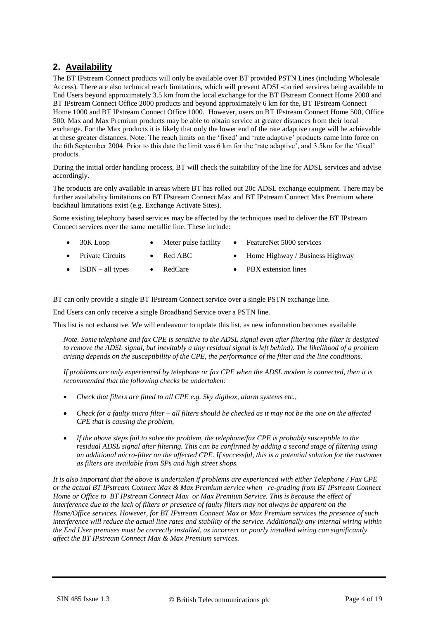# <span id="page-3-0"></span>**2. Availability**

The BT IPstream Connect products will only be available over BT provided PSTN Lines (including Wholesale Access). There are also technical reach limitations, which will prevent ADSL-carried services being available to End Users beyond approximately 3.5 km from the local exchange for the BT IPstream Connect Home 2000 and BT IPstream Connect Office 2000 products and beyond approximately 6 km for the, BT IPstream Connect Home 1000 and BT IPstream Connect Office 1000. However, users on BT IPstream Connect Home 500, Office 500, Max and Max Premium products may be able to obtain service at greater distances from their local exchange. For the Max products it is likely that only the lower end of the rate adaptive range will be achievable at these greater distances. Note: The reach limits on the 'fixed' and 'rate adaptive' products came into force on the 6th September 2004. Prior to this date the limit was 6 km for the 'rate adaptive', and 3.5km for the 'fixed' products.

During the initial order handling process, BT will check the suitability of the line for ADSL services and advise accordingly.

The products are only available in areas where BT has rolled out 20c ADSL exchange equipment. There may be further availability limitations on BT IPstream Connect Max and BT IPstream Connect Max Premium where backhaul limitations exist (e.g. Exchange Activate Sites).

Some existing telephony based services may be affected by the techniques used to deliver the BT IPstream Connect services over the same metallic line. These include:

- 30K Loop Meter pulse facility FeatureNet 5000 services
	-
- Private Circuits Red ABC Home Highway / Business Highway
- ISDN all types RedCare PBX extension lines
	-

BT can only provide a single BT IPstream Connect service over a single PSTN exchange line.

End Users can only receive a single Broadband Service over a PSTN line.

This list is not exhaustive. We will endeavour to update this list, as new information becomes available.

*Note. Some telephone and fax CPE is sensitive to the ADSL signal even after filtering (the filter is designed*  to remove the ADSL signal, but inevitably a tiny residual signal is left behind). The likelihood of a problem *arising depends on the susceptibility of the CPE, the performance of the filter and the line conditions.* 

*If problems are only experienced by telephone or fax CPE when the ADSL modem is connected, then it is recommended that the following checks be undertaken:*

- *Check that filters are fitted to all CPE e.g. Sky digibox, alarm systems etc.,*
- *Check for a faulty micro filter – all filters should be checked as it may not be the one on the affected CPE that is causing the problem,*
- *If the above steps fail to solve the problem, the telephone/fax CPE is probably susceptible to the residual ADSL signal after filtering. This can be confirmed by adding a second stage of filtering using an additional micro-filter on the affected CPE. If successful, this is a potential solution for the customer as filters are available from SPs and high street shops.*

*It is also important that the above is undertaken if problems are experienced with either Telephone / Fax CPE or the actual BT IPstream Connect Max & Max Premium service when re-grading from BT IPstream Connect Home or Office to BT IPstream Connect Max or Max Premium Service. This is because the effect of interference due to the lack of filters or presence of faulty filters may not always be apparent on the Home/Office services. However, for BT IPstream Connect Max or Max Premium services the presence of such interference will reduce the actual line rates and stability of the service. Additionally any internal wiring within the End User premises must be correctly installed, as incorrect or poorly installed wiring can significantly affect the BT IPstream Connect Max & Max Premium services.*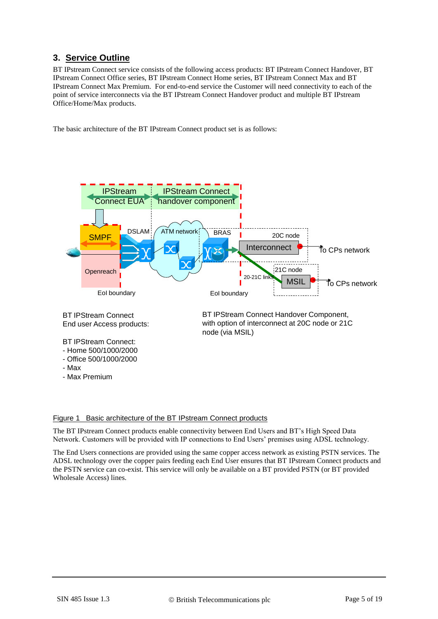# <span id="page-4-0"></span>**3. Service Outline**

BT IPstream Connect service consists of the following access products: BT IPstream Connect Handover, BT IPstream Connect Office series, BT IPstream Connect Home series, BT IPstream Connect Max and BT IPstream Connect Max Premium. For end-to-end service the Customer will need connectivity to each of the point of service interconnects via the BT IPstream Connect Handover product and multiple BT IPstream Office/Home/Max products.

The basic architecture of the BT IPstream Connect product set is as follows:



# <span id="page-4-1"></span>Figure 1 Basic architecture of the BT IPstream Connect products

The BT IPstream Connect products enable connectivity between End Users and BT's High Speed Data Network. Customers will be provided with IP connections to End Users' premises using ADSL technology.

The End Users connections are provided using the same copper access network as existing PSTN services. The ADSL technology over the copper pairs feeding each End User ensures that BT IPstream Connect products and the PSTN service can co-exist. This service will only be available on a BT provided PSTN (or BT provided Wholesale Access) lines.

- Max

- Max Premium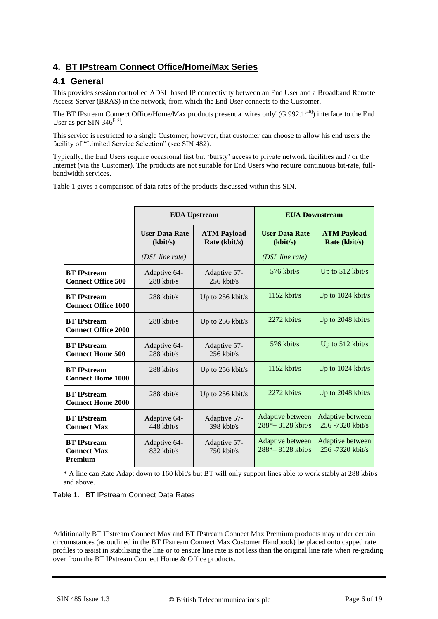# <span id="page-5-0"></span>**4. BT IPstream Connect Office/Home/Max Series**

## <span id="page-5-1"></span>**4.1 General**

This provides session controlled ADSL based IP connectivity between an End User and a Broadband Remote Access Server (BRAS) in the network, from which the End User connects to the Customer.

The BT IPstream Connect Office/Home/Max products present a 'wires only' (G.992.1<sup>[\[46\]](#page-15-4)</sup>) interface to the End User as per SIN 346 $^{[23]}$  $^{[23]}$  $^{[23]}$ .

This service is restricted to a single Customer; however, that customer can choose to allow his end users the facility of "Limited Service Selection" (see SIN 482).

Typically, the End Users require occasional fast but 'bursty' access to private network facilities and / or the Internet (via the Customer). The products are not suitable for End Users who require continuous bit-rate, fullbandwidth services.

[Table 1](#page-5-2) gives a comparison of data rates of the products discussed within this SIN.

|                                                            | <b>EUA Upstream</b>               |                                     | <b>EUA Downstream</b>                                                    |                                      |
|------------------------------------------------------------|-----------------------------------|-------------------------------------|--------------------------------------------------------------------------|--------------------------------------|
|                                                            | <b>User Data Rate</b><br>(kbit/s) | <b>ATM Payload</b><br>Rate (kbit/s) | <b>User Data Rate</b><br><b>ATM Payload</b><br>(kbit/s)<br>Rate (kbit/s) |                                      |
|                                                            | $(DSL$ line rate)                 |                                     | (DSL line rate)                                                          |                                      |
| <b>BT</b> IPstream<br><b>Connect Office 500</b>            | Adaptive 64-<br>288 kbit/s        | Adaptive 57-<br>256 kbit/s          | $576$ kbit/s                                                             | Up to $512$ kbit/s                   |
| <b>BT</b> IPstream<br><b>Connect Office 1000</b>           | $288$ kbit/s                      | Up to 256 kbit/s                    | $1152$ kbit/s                                                            | Up to 1024 kbit/s                    |
| <b>BT</b> IPstream<br><b>Connect Office 2000</b>           | $288$ kbit/s                      | Up to 256 kbit/s                    | $2272$ kbit/s                                                            | Up to 2048 kbit/s                    |
| <b>BT</b> IPstream<br><b>Connect Home 500</b>              | Adaptive 64-<br>288 kbit/s        | Adaptive 57-<br>256 kbit/s          | $576$ kbit/s                                                             | Up to 512 kbit/s                     |
| <b>BT</b> IPstream<br><b>Connect Home 1000</b>             | $288$ kbit/s                      | Up to 256 kbit/s                    | $1152$ kbit/s                                                            | Up to 1024 kbit/s                    |
| <b>BT</b> IPstream<br><b>Connect Home 2000</b>             | $288$ kbit/s                      | Up to 256 kbit/s                    | $2272$ kbit/s                                                            | Up to 2048 kbit/s                    |
| <b>BT</b> IPstream<br><b>Connect Max</b>                   | Adaptive 64-<br>$448$ kbit/s      | Adaptive 57-<br>398 kbit/s          | Adaptive between<br>288*-8128 kbit/s                                     | Adaptive between<br>256 -7320 kbit/s |
| <b>BT</b> IPstream<br><b>Connect Max</b><br><b>Premium</b> | Adaptive 64-<br>$832$ kbit/s      | Adaptive 57-<br>$750$ kbit/s        | Adaptive between<br>288*-8128 kbit/s                                     | Adaptive between<br>256-7320 kbit/s  |

\* A line can Rate Adapt down to 160 kbit/s but BT will only support lines able to work stably at 288 kbit/s and above.

<span id="page-5-2"></span>Table 1. BT IPstream Connect Data Rates

Additionally BT IPstream Connect Max and BT IPstream Connect Max Premium products may under certain circumstances (as outlined in the BT IPstream Connect Max Customer Handbook) be placed onto capped rate profiles to assist in stabilising the line or to ensure line rate is not less than the original line rate when re-grading over from the BT IPstream Connect Home & Office products.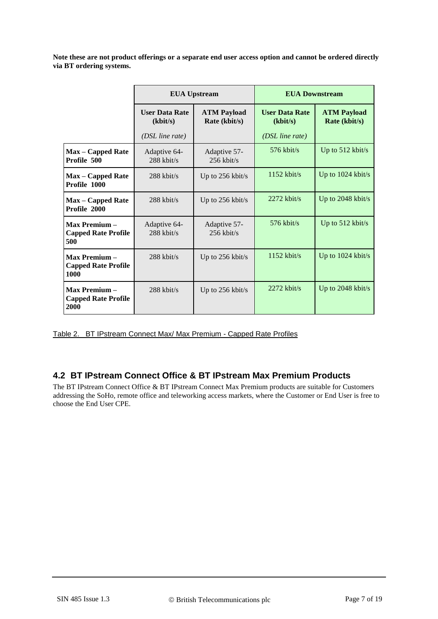**Note these are not product offerings or a separate end user access option and cannot be ordered directly via BT ordering systems.**

|                                                          | <b>EUA Upstream</b>                                                      |                              | <b>EUA Downstream</b>             |                                     |
|----------------------------------------------------------|--------------------------------------------------------------------------|------------------------------|-----------------------------------|-------------------------------------|
|                                                          | <b>User Data Rate</b><br><b>ATM Payload</b><br>(kbit/s)<br>Rate (kbit/s) |                              | <b>User Data Rate</b><br>(kbit/s) | <b>ATM Payload</b><br>Rate (kbit/s) |
|                                                          | $(DSL$ line rate)                                                        |                              | $(DSL$ line rate)                 |                                     |
| <b>Max</b> – Capped Rate<br>Profile 500                  | Adaptive 64-<br>$288$ kbit/s                                             | Adaptive 57-<br>$256$ kbit/s | $576$ kbit/s                      | Up to $512$ kbit/s                  |
| <b>Max</b> – Capped Rate<br>Profile 1000                 | $288$ kbit/s                                                             | Up to $256$ kbit/s           | $1152$ kbit/s                     | Up to $1024$ kbit/s                 |
| <b>Max</b> – Capped Rate<br>Profile 2000                 | $288$ kbit/s                                                             | Up to 256 kbit/s             | $2272$ kbit/s                     | Up to 2048 kbit/s                   |
| <b>Max Premium-</b><br><b>Capped Rate Profile</b><br>500 | Adaptive 64-<br>$288$ kbit/s                                             | Adaptive 57-<br>$256$ kbit/s | $576$ kbit/s                      | Up to $512$ kbit/s                  |
| Max Premium -<br><b>Capped Rate Profile</b><br>1000      | $288$ kbit/s                                                             | Up to 256 kbit/s             | $1152$ kbit/s                     | Up to 1024 kbit/s                   |
| Max Premium -<br><b>Capped Rate Profile</b><br>2000      | $288$ kbit/s                                                             | Up to 256 kbit/s             | $2272$ kbit/s                     | Up to 2048 kbit/s                   |

<span id="page-6-1"></span>Table 2. BT IPstream Connect Max/ Max Premium - Capped Rate Profiles

## <span id="page-6-0"></span>**4.2 BT IPstream Connect Office & BT IPstream Max Premium Products**

The BT IPstream Connect Office & BT IPstream Connect Max Premium products are suitable for Customers addressing the SoHo, remote office and teleworking access markets, where the Customer or End User is free to choose the End User CPE.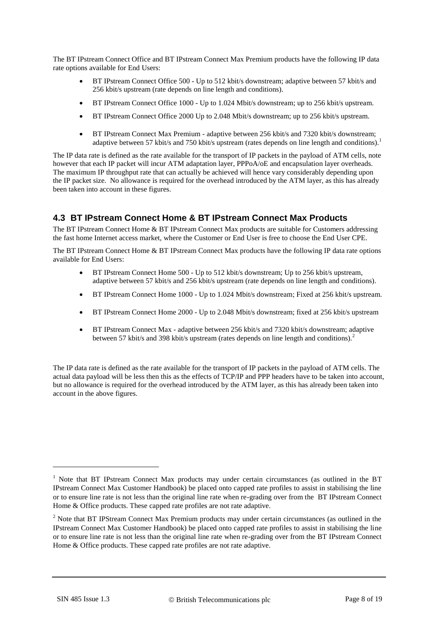The BT IPstream Connect Office and BT IPstream Connect Max Premium products have the following IP data rate options available for End Users:

- BT IPstream Connect Office 500 Up to 512 kbit/s downstream; adaptive between 57 kbit/s and 256 kbit/s upstream (rate depends on line length and conditions).
- BT IPstream Connect Office 1000 Up to 1.024 Mbit/s downstream; up to 256 kbit/s upstream.
- BT IPstream Connect Office 2000 Up to 2.048 Mbit/s downstream; up to 256 kbit/s upstream.
- BT IPstream Connect Max Premium adaptive between 256 kbit/s and 7320 kbit/s downstream; adaptive between 57 kbit/s and 750 kbit/s upstream (rates depends on line length and conditions).<sup>1</sup>

The IP data rate is defined as the rate available for the transport of IP packets in the payload of ATM cells, note however that each IP packet will incur ATM adaptation layer, PPPoA/oE and encapsulation layer overheads. The maximum IP throughput rate that can actually be achieved will hence vary considerably depending upon the IP packet size. No allowance is required for the overhead introduced by the ATM layer, as this has already been taken into account in these figures.

## <span id="page-7-0"></span>**4.3 BT IPstream Connect Home & BT IPstream Connect Max Products**

The BT IPstream Connect Home & BT IPstream Connect Max products are suitable for Customers addressing the fast home Internet access market, where the Customer or End User is free to choose the End User CPE.

The BT IPstream Connect Home & BT IPstream Connect Max products have the following IP data rate options available for End Users:

- BT IPstream Connect Home 500 Up to 512 kbit/s downstream; Up to 256 kbit/s upstream, adaptive between 57 kbit/s and 256 kbit/s upstream (rate depends on line length and conditions).
- BT IPstream Connect Home 1000 Up to 1.024 Mbit/s downstream; Fixed at 256 kbit/s upstream.
- BT IPstream Connect Home 2000 Up to 2.048 Mbit/s downstream; fixed at 256 kbit/s upstream
- BT IPstream Connect Max adaptive between 256 kbit/s and 7320 kbit/s downstream; adaptive between 57 kbit/s and 398 kbit/s upstream (rates depends on line length and conditions).<sup>2</sup>

The IP data rate is defined as the rate available for the transport of IP packets in the payload of ATM cells. The actual data payload will be less then this as the effects of TCP/IP and PPP headers have to be taken into account, but no allowance is required for the overhead introduced by the ATM layer, as this has already been taken into account in the above figures.

1

<sup>&</sup>lt;sup>1</sup> Note that BT IPstream Connect Max products may under certain circumstances (as outlined in the BT IPstream Connect Max Customer Handbook) be placed onto capped rate profiles to assist in stabilising the line or to ensure line rate is not less than the original line rate when re-grading over from the BT IPstream Connect Home & Office products. These capped rate profiles are not rate adaptive.

<sup>&</sup>lt;sup>2</sup> Note that BT IPStream Connect Max Premium products may under certain circumstances (as outlined in the IPstream Connect Max Customer Handbook) be placed onto capped rate profiles to assist in stabilising the line or to ensure line rate is not less than the original line rate when re-grading over from the BT IPstream Connect Home & Office products. These capped rate profiles are not rate adaptive.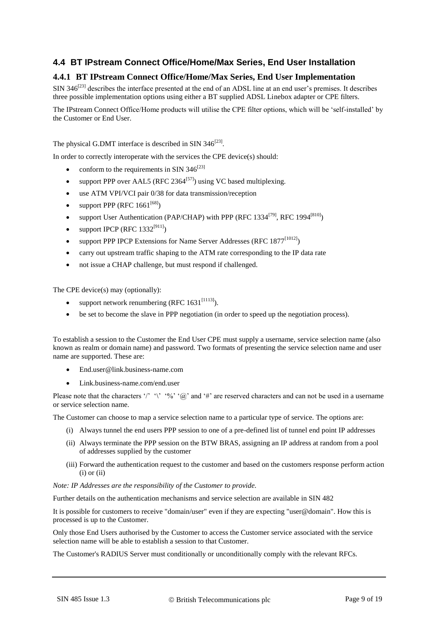# <span id="page-8-0"></span>**4.4 BT IPstream Connect Office/Home/Max Series, End User Installation**

## <span id="page-8-1"></span>**4.4.1 BT IPstream Connect Office/Home/Max Series, End User Implementation**

SIN 34 $6^{[23]}$  $6^{[23]}$  $6^{[23]}$  describes the interface presented at the end of an ADSL line at an end user's premises. It describes three possible implementation options using either a BT supplied ADSL Linebox adapter or CPE filters.

The IPstream Connect Office/Home products will utilise the CPE filter options, which will be 'self-installed' by the Customer or End User.

The physical G.DMT interface is described in SIN  $346^{[23]}$  $346^{[23]}$  $346^{[23]}$ .

In order to correctly interoperate with the services the CPE device(s) should:

- conform to the requirements in SIN  $346^{[23]}$  $346^{[23]}$  $346^{[23]}$
- support PPP over AAL5 (RFC 2364 $<sup>[57]</sup>$  $<sup>[57]</sup>$  $<sup>[57]</sup>$ ) using VC based multiplexing.</sup>
- use ATM VPI/VCI pair 0/38 for data transmission/reception
- support PPP (RFC  $1661^{[68]}$  $1661^{[68]}$  $1661^{[68]}$ )
- support User Authentication (PAP/CHAP) with PPP (RFC  $1334^{[79]}$  $1334^{[79]}$  $1334^{[79]}$ , RFC  $1994^{[810]}$  $1994^{[810]}$  $1994^{[810]}$ )
- support IPCP (RFC  $1332^{[911]}$  $1332^{[911]}$  $1332^{[911]}$ )
- support PPP IPCP Extensions for Name Server Addresses (RFC  $1877^{[1012]}$  $1877^{[1012]}$  $1877^{[1012]}$ )
- carry out upstream traffic shaping to the ATM rate corresponding to the IP data rate
- not issue a CHAP challenge, but must respond if challenged.

The CPE device(s) may (optionally):

- support network renumbering (RFC  $1631^{[1113]}$  $1631^{[1113]}$  $1631^{[1113]}$ ).
- be set to become the slave in PPP negotiation (in order to speed up the negotiation process).

To establish a session to the Customer the End User CPE must supply a username, service selection name (also known as realm or domain name) and password. Two formats of presenting the service selection name and user name are supported. These are:

- [End.user@link.business-name.com](mailto:End.user@link.business-name.com)
- Link.business-name.com/end.user

Please note that the characters '/' '\' '%' '%'  $\alpha$ ' and '#' are reserved characters and can not be used in a username or service selection name.

The Customer can choose to map a service selection name to a particular type of service. The options are:

- (i) Always tunnel the end users PPP session to one of a pre-defined list of tunnel end point IP addresses
- (ii) Always terminate the PPP session on the BTW BRAS, assigning an IP address at random from a pool of addresses supplied by the customer
- (iii) Forward the authentication request to the customer and based on the customers response perform action  $(i)$  or  $(ii)$

#### *Note: IP Addresses are the responsibility of the Customer to provide.*

Further details on the authentication mechanisms and service selection are available in SIN 482

It is possible for customers to receive "domain/user" even if they are expecting "user@domain". How this is processed is up to the Customer.

Only those End Users authorised by the Customer to access the Customer service associated with the service selection name will be able to establish a session to that Customer.

The Customer's RADIUS Server must conditionally or unconditionally comply with the relevant RFCs.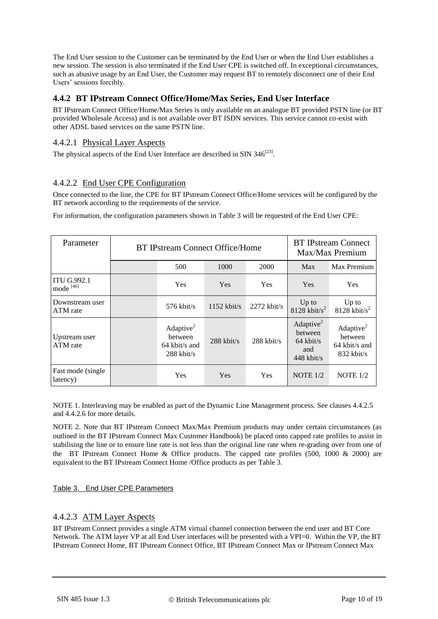The End User session to the Customer can be terminated by the End User or when the End User establishes a new session. The session is also terminated if the End User CPE is switched off. In exceptional circumstances, such as abusive usage by an End User, the Customer may request BT to remotely disconnect one of their End Users' sessions forcibly.

## <span id="page-9-0"></span>**4.4.2 BT IPstream Connect Office/Home/Max Series, End User Interface**

BT IPstream Connect Office/Home/Max Series is only available on an analogue BT provided PSTN line (or BT provided Wholesale Access) and is not available over BT ISDN services. This service cannot co-exist with other ADSL based services on the same PSTN line.

## 4.4.2.1 Physical Layer Aspects

The physical aspects of the End User Interface are described in SIN  $346^{[23]}$  $346^{[23]}$  $346^{[23]}$ .

## 4.4.2.2 End User CPE Configuration

Once connected to the line, the CPE for BT IPstream Connect Office/Home services will be configured by the BT network according to the requirements of the service.

For information, the configuration parameters shown in [Table 3](#page-9-1) will be requested of the End User CPE:

| Parameter                                  | <b>BT IPstream Connect Office/Home</b> |                                                            | <b>BT IPstream Connect</b><br>Max/Max Premium |               |                                                                        |                                                                   |
|--------------------------------------------|----------------------------------------|------------------------------------------------------------|-----------------------------------------------|---------------|------------------------------------------------------------------------|-------------------------------------------------------------------|
|                                            |                                        | 500                                                        | 1000                                          | 2000          | Max                                                                    | Max Premium                                                       |
| <b>ITU G.992.1</b><br>mode <sup>[46]</sup> |                                        | <b>Yes</b>                                                 | <b>Yes</b>                                    | <b>Yes</b>    | Yes                                                                    | <b>Yes</b>                                                        |
| Downstream user<br>ATM rate                |                                        | $576$ kbit/s                                               | $1152$ kbit/s                                 | $2272$ kbit/s | $Up$ to<br>$8128$ kbit/s <sup>2</sup>                                  | $Up$ to<br>$8128$ kbit/s <sup>2</sup>                             |
| Upstream user<br>ATM rate                  |                                        | Adaptive $2$<br>between<br>$64$ kbit/s and<br>$288$ kbit/s | $288$ kbit/s                                  | $288$ kbit/s  | Adaptive <sup>2</sup><br>between<br>$64$ kbit/s<br>and<br>$448$ kbit/s | Adaptive <sup>2</sup><br>between<br>64 kbit/s and<br>$832$ kbit/s |
| Fast mode (single)<br>latency)             |                                        | Yes                                                        | <b>Yes</b>                                    | <b>Yes</b>    | NOTE $1/2$                                                             | NOTE $1/2$                                                        |

NOTE 1. Interleaving may be enabled as part of the Dynamic Line Management process. See clauses 4.4.2.5 and 4.4.2.6 for more details.

NOTE 2. Note that BT IPstream Connect Max/Max Premium products may under certain circumstances (as outlined in the BT IPstream Connect Max Customer Handbook) be placed onto capped rate profiles to assist in stabilising the line or to ensure line rate is not less than the original line rate when re-grading over from one of the BT IPstream Connect Home & Office products. The capped rate profiles (500, 1000 & 2000) are equivalent to the BT IPstream Connect Home /Office products as per [Table 3.](#page-9-1)

### <span id="page-9-1"></span>Table 3. End User CPE Parameters

### 4.4.2.3 ATM Layer Aspects

BT IPstream Connect provides a single ATM virtual channel connection between the end user and BT Core Network. The ATM layer VP at all End User interfaces will be presented with a VPI=0. Within the VP, the BT IPstream Connect Home, BT IPstream Connect Office, BT IPstream Connect Max or IPstream Connect Max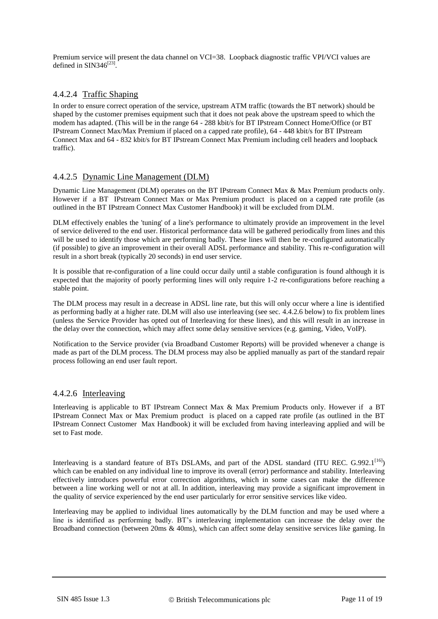Premium service will present the data channel on VCI=38. Loopback diagnostic traffic VPI/VCI values are defined in  $\text{SIN}346^{[23]}.$  $\text{SIN}346^{[23]}.$  $\text{SIN}346^{[23]}.$ 

## 4.4.2.4 Traffic Shaping

In order to ensure correct operation of the service, upstream ATM traffic (towards the BT network) should be shaped by the customer premises equipment such that it does not peak above the upstream speed to which the modem has adapted. (This will be in the range 64 - 288 kbit/s for BT IPstream Connect Home/Office (or BT IPstream Connect Max/Max Premium if placed on a capped rate profile), 64 - 448 kbit/s for BT IPstream Connect Max and 64 - 832 kbit/s for BT IPstream Connect Max Premium including cell headers and loopback traffic).

## 4.4.2.5 Dynamic Line Management (DLM)

Dynamic Line Management (DLM) operates on the BT IPstream Connect Max & Max Premium products only. However if a BT IPstream Connect Max or Max Premium product is placed on a capped rate profile (as outlined in the BT IPstream Connect Max Customer Handbook) it will be excluded from DLM.

DLM effectively enables the 'tuning' of a line's performance to ultimately provide an improvement in the level of service delivered to the end user. Historical performance data will be gathered periodically from lines and this will be used to identify those which are performing badly. These lines will then be re-configured automatically (if possible) to give an improvement in their overall ADSL performance and stability. This re-configuration will result in a short break (typically 20 seconds) in end user service.

It is possible that re-configuration of a line could occur daily until a stable configuration is found although it is expected that the majority of poorly performing lines will only require 1-2 re-configurations before reaching a stable point.

The DLM process may result in a decrease in ADSL line rate, but this will only occur where a line is identified as performing badly at a higher rate. DLM will also use interleaving (see sec. [4.4.2.6 below\)](#page-10-0) to fix problem lines (unless the Service Provider has opted out of Interleaving for these lines), and this will result in an increase in the delay over the connection, which may affect some delay sensitive services (e.g. gaming, Video, VoIP).

Notification to the Service provider (via Broadband Customer Reports) will be provided whenever a change is made as part of the DLM process. The DLM process may also be applied manually as part of the standard repair process following an end user fault report.

### <span id="page-10-0"></span>4.4.2.6 Interleaving

Interleaving is applicable to BT IPstream Connect Max & Max Premium Products only. However if a BT IPstream Connect Max or Max Premium product is placed on a capped rate profile (as outlined in the BT IPstream Connect Customer Max Handbook) it will be excluded from having interleaving applied and will be set to Fast mode.

Interleaving is a standard feature of BTs DSLAMs, and part of the ADSL standard (ITU REC. G.992.1<sup>[\[16\]](#page-15-4)</sup>) which can be enabled on any individual line to improve its overall (error) performance and stability. Interleaving effectively introduces powerful error correction algorithms, which in some cases can make the difference between a line working well or not at all. In addition, interleaving may provide a significant improvement in the quality of service experienced by the end user particularly for error sensitive services like video.

Interleaving may be applied to individual lines automatically by the DLM function and may be used where a line is identified as performing badly. BT's interleaving implementation can increase the delay over the Broadband connection (between 20ms & 40ms), which can affect some delay sensitive services like gaming. In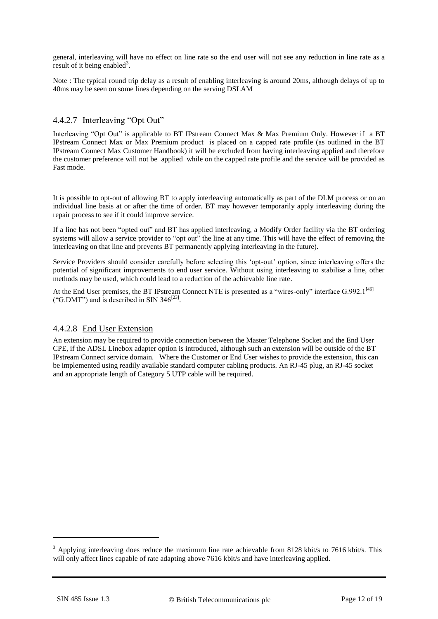general, interleaving will have no effect on line rate so the end user will not see any reduction in line rate as a result of it being enabled<sup>3</sup>.

Note : The typical round trip delay as a result of enabling interleaving is around 20ms, although delays of up to 40ms may be seen on some lines depending on the serving DSLAM

## 4.4.2.7 Interleaving "Opt Out"

Interleaving "Opt Out" is applicable to BT IPstream Connect Max & Max Premium Only. However if a BT IPstream Connect Max or Max Premium product is placed on a capped rate profile (as outlined in the BT IPstream Connect Max Customer Handbook) it will be excluded from having interleaving applied and therefore the customer preference will not be applied while on the capped rate profile and the service will be provided as Fast mode.

It is possible to opt-out of allowing BT to apply interleaving automatically as part of the DLM process or on an individual line basis at or after the time of order. BT may however temporarily apply interleaving during the repair process to see if it could improve service.

If a line has not been "opted out" and BT has applied interleaving, a Modify Order facility via the BT ordering systems will allow a service provider to "opt out" the line at any time. This will have the effect of removing the interleaving on that line and prevents BT permanently applying interleaving in the future).

Service Providers should consider carefully before selecting this 'opt-out' option, since interleaving offers the potential of significant improvements to end user service. Without using interleaving to stabilise a line, other methods may be used, which could lead to a reduction of the achievable line rate.

At the End User premises, the BT IPstream Connect NTE is presented as a "wires-only" interface G.992.1<sup>[\[46\]](#page-15-4)</sup> ("G.DMT") and is described in SIN 346<sup>[\[23\]](#page-15-3)</sup>.

### 4.4.2.8 End User Extension

An extension may be required to provide connection between the Master Telephone Socket and the End User CPE, if the ADSL Linebox adapter option is introduced, although such an extension will be outside of the BT IPstream Connect service domain. Where the Customer or End User wishes to provide the extension, this can be implemented using readily available standard computer cabling products. An RJ-45 plug, an RJ-45 socket and an appropriate length of Category 5 UTP cable will be required.

-

<sup>&</sup>lt;sup>3</sup> Applying interleaving does reduce the maximum line rate achievable from 8128 kbit/s to 7616 kbit/s. This will only affect lines capable of rate adapting above 7616 kbit/s and have interleaving applied.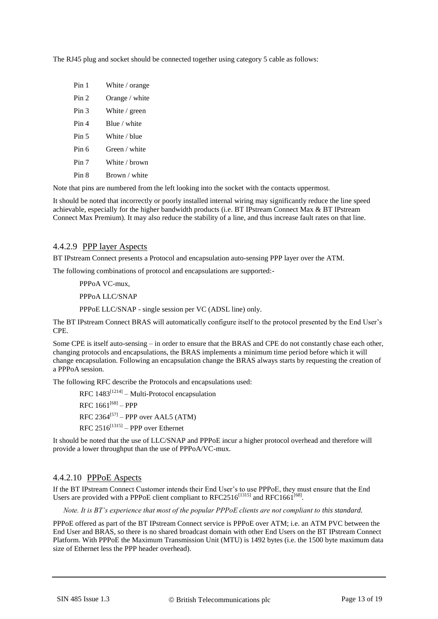The RJ45 plug and socket should be connected together using category 5 cable as follows:

| Pin 1            | White / orange            |
|------------------|---------------------------|
| Pin 2            | Orange / white            |
| Pin <sub>3</sub> | White $\frac{1}{2}$ green |
| Pin 4            | Blue / white              |
| Pin <sub>5</sub> | White / blue              |
| Pin 6            | Green / white             |
| Pin 7            | White / brown             |
| Pin 8            | Brown / white             |

Note that pins are numbered from the left looking into the socket with the contacts uppermost.

It should be noted that incorrectly or poorly installed internal wiring may significantly reduce the line speed achievable, especially for the higher bandwidth products (i.e. BT IPstream Connect Max & BT IPstream Connect Max Premium). It may also reduce the stability of a line, and thus increase fault rates on that line.

#### 4.4.2.9 PPP layer Aspects

BT IPstream Connect presents a Protocol and encapsulation auto-sensing PPP layer over the ATM.

The following combinations of protocol and encapsulations are supported:-

PPPoA VC-mux,

PPPoA LLC/SNAP

PPPoE LLC/SNAP - single session per VC (ADSL line) only.

The BT IPstream Connect BRAS will automatically configure itself to the protocol presented by the End User's CPE.

Some CPE is itself auto-sensing – in order to ensure that the BRAS and CPE do not constantly chase each other, changing protocols and encapsulations, the BRAS implements a minimum time period before which it will change encapsulation. Following an encapsulation change the BRAS always starts by requesting the creation of a PPPoA session.

The following RFC describe the Protocols and encapsulations used:

RFC  $1483^{[1214]}$  $1483^{[1214]}$  $1483^{[1214]}$  – Multi-Protocol encapsulation  $\rm{RFC}$  1661<sup>[\[68\]](#page-15-6)</sup> – PPP  $RFC 2364^{[57]}$  $RFC 2364^{[57]}$  $RFC 2364^{[57]}$  – PPP over AAL5 (ATM)  $RFC 2516^{[1315]} - PPP$  $RFC 2516^{[1315]} - PPP$  $RFC 2516^{[1315]} - PPP$  over Ethernet

It should be noted that the use of LLC/SNAP and PPPoE incur a higher protocol overhead and therefore will provide a lower throughput than the use of PPPoA/VC-mux.

### 4.4.2.10 PPPoE Aspects

If the BT IPstream Connect Customer intends their End User's to use PPPoE, they must ensure that the End Users are provided with a PPPoE client compliant to RFC2516<sup>[\[1315\]](#page-15-13)</sup> and RFC1661<sup>[\[68\]](#page-15-6)</sup>.

*Note. It is BT's experience that most of the popular PPPoE clients are not compliant to this standard.*

PPPoE offered as part of the BT IPstream Connect service is PPPoE over ATM; i.e. an ATM PVC between the End User and BRAS, so there is no shared broadcast domain with other End Users on the BT IPstream Connect Platform. With PPPoE the Maximum Transmission Unit (MTU) is 1492 bytes (i.e. the 1500 byte maximum data size of Ethernet less the PPP header overhead).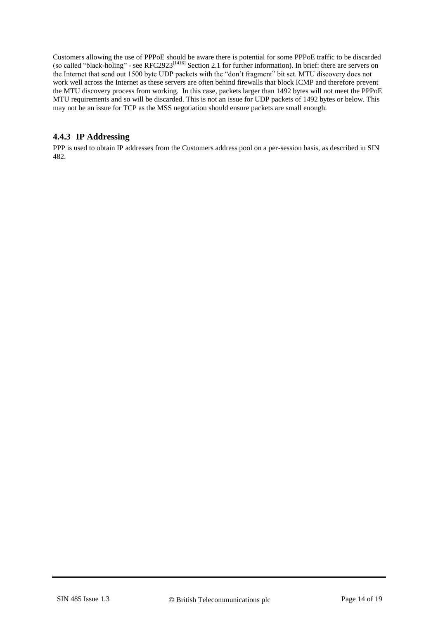Customers allowing the use of PPPoE should be aware there is potential for some PPPoE traffic to be discarded (so called "black-holing" - see RFC2923<sup>[\[1416\]](#page-15-14)</sup> Section 2.1 for further information). In brief: there are servers on the Internet that send out 1500 byte UDP packets with the "don't fragment" bit set. MTU discovery does not work well across the Internet as these servers are often behind firewalls that block ICMP and therefore prevent the MTU discovery process from working. In this case, packets larger than 1492 bytes will not meet the PPPoE MTU requirements and so will be discarded. This is not an issue for UDP packets of 1492 bytes or below. This may not be an issue for TCP as the MSS negotiation should ensure packets are small enough.

## <span id="page-13-0"></span>**4.4.3 IP Addressing**

PPP is used to obtain IP addresses from the Customers address pool on a per-session basis, as described in SIN 482.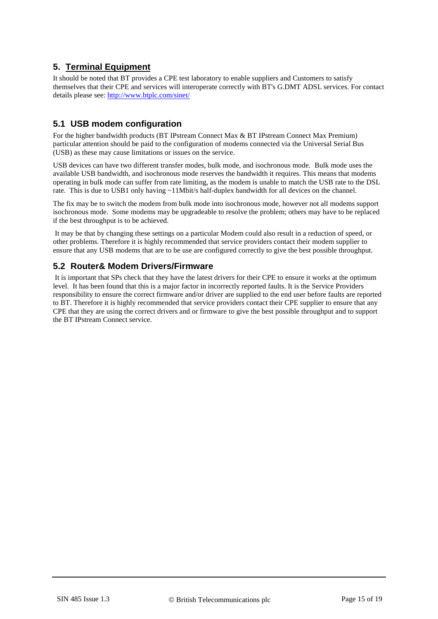# <span id="page-14-0"></span>**5. Terminal Equipment**

It should be noted that BT provides a CPE test laboratory to enable suppliers and Customers to satisfy themselves that their CPE and services will interoperate correctly with BT's G.DMT ADSL services. For contact details please see:<http://www.btplc.com/sinet/>

# <span id="page-14-1"></span>**5.1 USB modem configuration**

For the higher bandwidth products (BT IPstream Connect Max & BT IPstream Connect Max Premium) particular attention should be paid to the configuration of modems connected via the Universal Serial Bus (USB) as these may cause limitations or issues on the service.

USB devices can have two different transfer modes, bulk mode, and isochronous mode. Bulk mode uses the available USB bandwidth, and isochronous mode reserves the bandwidth it requires. This means that modems operating in bulk mode can suffer from rate limiting, as the modem is unable to match the USB rate to the DSL rate. This is due to USB1 only having ~11Mbit/s half-duplex bandwidth for all devices on the channel.

The fix may be to switch the modem from bulk mode into isochronous mode, however not all modems support isochronous mode. Some modems may be upgradeable to resolve the problem; others may have to be replaced if the best throughput is to be achieved.

It may be that by changing these settings on a particular Modem could also result in a reduction of speed, or other problems. Therefore it is highly recommended that service providers contact their modem supplier to ensure that any USB modems that are to be use are configured correctly to give the best possible throughput.

# <span id="page-14-2"></span>**5.2 Router& Modem Drivers/Firmware**

It is important that SPs check that they have the latest drivers for their CPE to ensure it works at the optimum level. It has been found that this is a major factor in incorrectly reported faults. It is the Service Providers responsibility to ensure the correct firmware and/or driver are supplied to the end user before faults are reported to BT. Therefore it is highly recommended that service providers contact their CPE supplier to ensure that any CPE that they are using the correct drivers and or firmware to give the best possible throughput and to support the BT IPstream Connect service.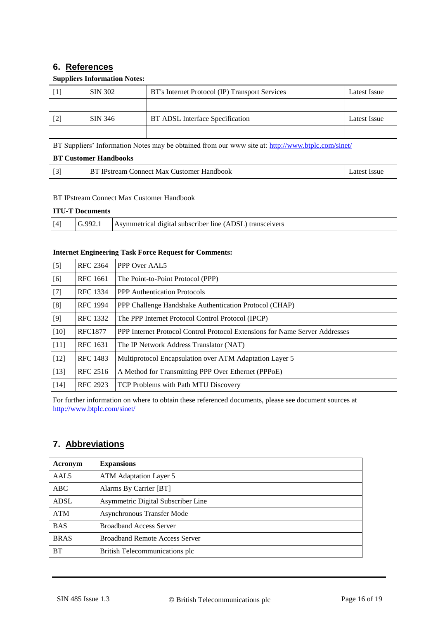# <span id="page-15-0"></span>**6. References**

### **Suppliers Information Notes:**

<span id="page-15-2"></span>

|                   | SIN 302 | BT's Internet Protocol (IP) Transport Services | Latest Issue |
|-------------------|---------|------------------------------------------------|--------------|
|                   |         |                                                |              |
| $\lceil 2 \rceil$ | SIN 346 | BT ADSL Interface Specification                | Latest Issue |
|                   |         |                                                |              |

<span id="page-15-3"></span>BT Suppliers' Information Notes may be obtained from our www site at:<http://www.btplc.com/sinet/>

#### **BT Customer Handbooks**

| DТ<br>Handbook<br>Justomer<br>Connect Max C<br>Pstream | <b>ISSU</b> |
|--------------------------------------------------------|-------------|
|--------------------------------------------------------|-------------|

### BT IPstream Connect Max Customer Handbook

#### **ITU-T Documents**

<span id="page-15-4"></span>

| $[4]$ | ററ | Asymmetrical digital subscriber line (ADSL) transceivers |
|-------|----|----------------------------------------------------------|

#### **Internet Engineering Task Force Request for Comments:**

<span id="page-15-10"></span><span id="page-15-9"></span><span id="page-15-8"></span><span id="page-15-7"></span><span id="page-15-6"></span><span id="page-15-5"></span>

| $[5]$  | <b>RFC 2364</b> | PPP Over AAL5                                                               |
|--------|-----------------|-----------------------------------------------------------------------------|
| [6]    | <b>RFC</b> 1661 | The Point-to-Point Protocol (PPP)                                           |
| $[7]$  | RFC 1334        | <b>PPP</b> Authentication Protocols                                         |
| [8]    | <b>RFC</b> 1994 | PPP Challenge Handshake Authentication Protocol (CHAP)                      |
| $[9]$  | <b>RFC 1332</b> | The PPP Internet Protocol Control Protocol (IPCP)                           |
| $[10]$ | <b>RFC1877</b>  | PPP Internet Protocol Control Protocol Extensions for Name Server Addresses |
| $[11]$ | <b>RFC</b> 1631 | The IP Network Address Translator (NAT)                                     |
| $[12]$ | <b>RFC</b> 1483 | Multiprotocol Encapsulation over ATM Adaptation Layer 5                     |
| $[13]$ | <b>RFC 2516</b> | A Method for Transmitting PPP Over Ethernet (PPPoE)                         |
| $[14]$ | <b>RFC 2923</b> | TCP Problems with Path MTU Discovery                                        |

<span id="page-15-14"></span><span id="page-15-13"></span><span id="page-15-12"></span><span id="page-15-11"></span>For further information on where to obtain these referenced documents, please see document sources at <http://www.btplc.com/sinet/>

# <span id="page-15-1"></span>**7. Abbreviations**

| Acronym     | <b>Expansions</b>                     |
|-------------|---------------------------------------|
| AAL5        | ATM Adaptation Layer 5                |
| ABC         | Alarms By Carrier [BT]                |
| <b>ADSL</b> | Asymmetric Digital Subscriber Line    |
| <b>ATM</b>  | Asynchronous Transfer Mode            |
| <b>BAS</b>  | <b>Broadband Access Server</b>        |
| <b>BRAS</b> | <b>Broadband Remote Access Server</b> |
| <b>BT</b>   | British Telecommunications plc        |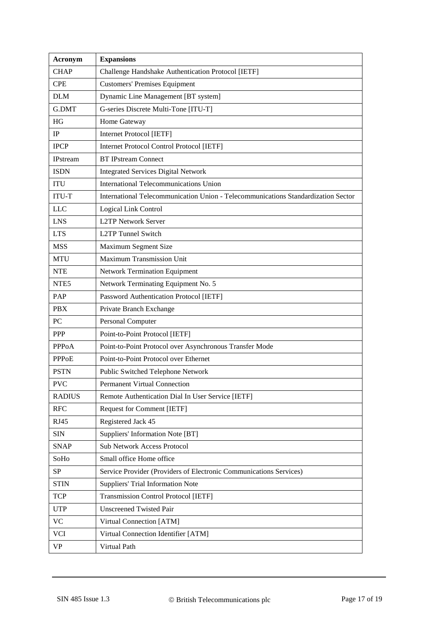| Acronym          | <b>Expansions</b>                                                                 |
|------------------|-----------------------------------------------------------------------------------|
| <b>CHAP</b>      | Challenge Handshake Authentication Protocol [IETF]                                |
| <b>CPE</b>       | <b>Customers' Premises Equipment</b>                                              |
| <b>DLM</b>       | Dynamic Line Management [BT system]                                               |
| G.DMT            | G-series Discrete Multi-Tone [ITU-T]                                              |
| HG               | Home Gateway                                                                      |
| IP               | <b>Internet Protocol [IETF]</b>                                                   |
| <b>IPCP</b>      | <b>Internet Protocol Control Protocol [IETF]</b>                                  |
| <b>IPstream</b>  | <b>BT IPstream Connect</b>                                                        |
| <b>ISDN</b>      | <b>Integrated Services Digital Network</b>                                        |
| <b>ITU</b>       | International Telecommunications Union                                            |
| <b>ITU-T</b>     | International Telecommunication Union - Telecommunications Standardization Sector |
| <b>LLC</b>       | Logical Link Control                                                              |
| <b>LNS</b>       | <b>L2TP Network Server</b>                                                        |
| <b>LTS</b>       | <b>L2TP Tunnel Switch</b>                                                         |
| <b>MSS</b>       | Maximum Segment Size                                                              |
| <b>MTU</b>       | Maximum Transmission Unit                                                         |
| <b>NTE</b>       | <b>Network Termination Equipment</b>                                              |
| NTE <sub>5</sub> | Network Terminating Equipment No. 5                                               |
| PAP              | Password Authentication Protocol [IETF]                                           |
| <b>PBX</b>       | Private Branch Exchange                                                           |
| PC               | Personal Computer                                                                 |
| PPP              | Point-to-Point Protocol [IETF]                                                    |
| <b>PPPoA</b>     | Point-to-Point Protocol over Asynchronous Transfer Mode                           |
| <b>PPPoE</b>     | Point-to-Point Protocol over Ethernet                                             |
| <b>PSTN</b>      | Public Switched Telephone Network                                                 |
| <b>PVC</b>       | <b>Permanent Virtual Connection</b>                                               |
| <b>RADIUS</b>    | Remote Authentication Dial In User Service [IETF]                                 |
| <b>RFC</b>       | <b>Request for Comment [IETF]</b>                                                 |
| RJ45             | Registered Jack 45                                                                |
| <b>SIN</b>       | Suppliers' Information Note [BT]                                                  |
| <b>SNAP</b>      | <b>Sub Network Access Protocol</b>                                                |
| SoHo             | Small office Home office                                                          |
| SP               | Service Provider (Providers of Electronic Communications Services)                |
| <b>STIN</b>      | Suppliers' Trial Information Note                                                 |
| <b>TCP</b>       | <b>Transmission Control Protocol [IETF]</b>                                       |
| <b>UTP</b>       | <b>Unscreened Twisted Pair</b>                                                    |
| <b>VC</b>        | Virtual Connection [ATM]                                                          |
| <b>VCI</b>       | Virtual Connection Identifier [ATM]                                               |
| VP               | Virtual Path                                                                      |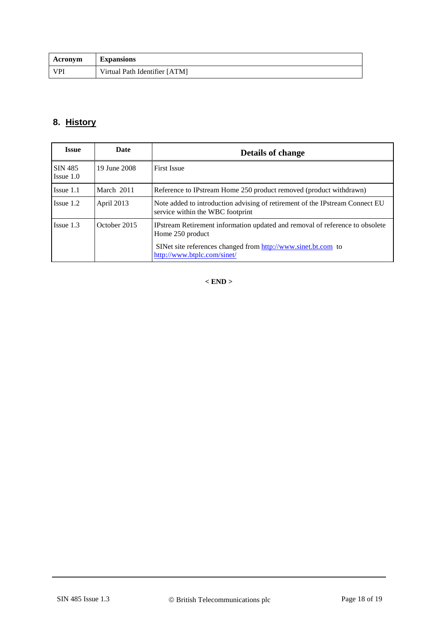| Acronym    | <b>Expansions</b>             |
|------------|-------------------------------|
| <b>VPI</b> | Virtual Path Identifier [ATM] |

# <span id="page-17-0"></span>**8. History**

| <b>Issue</b>              | Date         | <b>Details of change</b>                                                                                         |
|---------------------------|--------------|------------------------------------------------------------------------------------------------------------------|
| SIN 485<br>$I$ ssue $1.0$ | 19 June 2008 | <b>First Issue</b>                                                                                               |
| $I$ ssue $1.1$            | March 2011   | Reference to IPstream Home 250 product removed (product withdrawn)                                               |
| $I$ ssue 1.2              | April 2013   | Note added to introduction advising of retirement of the IPstream Connect EU<br>service within the WBC footprint |
| $Issue$ 1.3               | October 2015 | IPstream Retirement information updated and removal of reference to obsolete<br>Home 250 product                 |
|                           |              | SINet site references changed from http://www.sinet.bt.com to<br>http://www.btplc.com/sinet/                     |

**< END >**